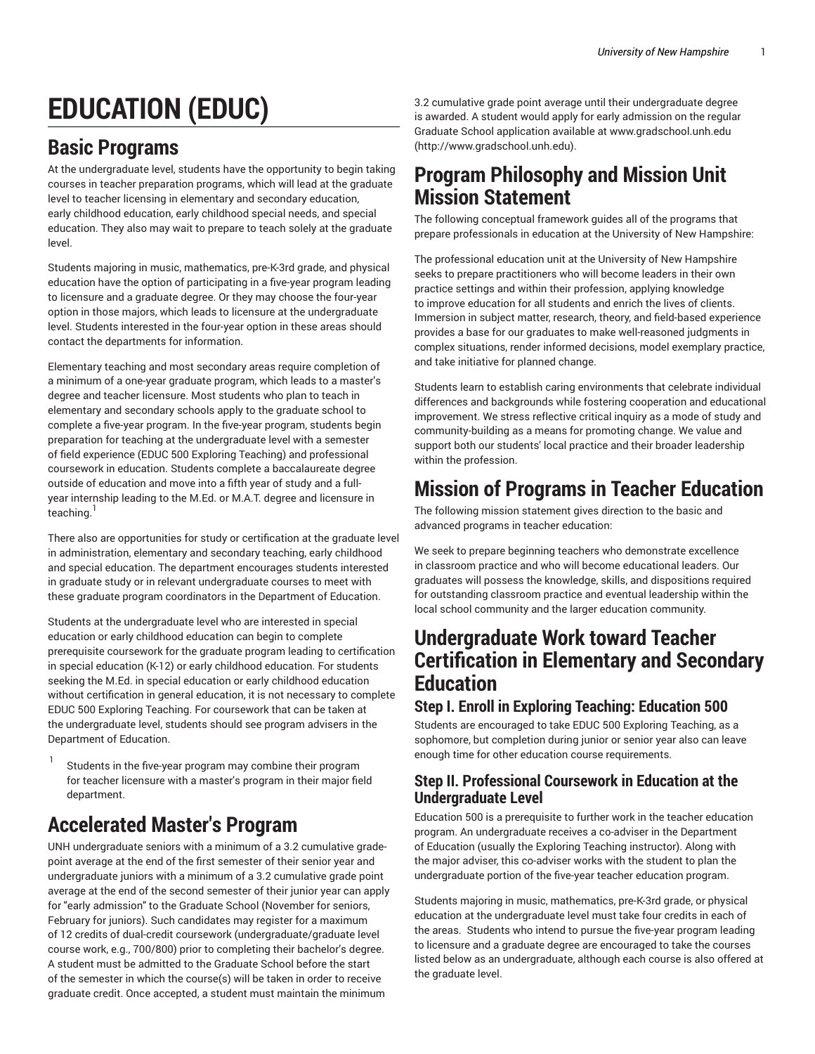# **EDUCATION (EDUC)**

# **Basic Programs**

At the undergraduate level, students have the opportunity to begin taking courses in teacher preparation programs, which will lead at the graduate level to teacher licensing in elementary and secondary education, early childhood education, early childhood special needs, and special education. They also may wait to prepare to teach solely at the graduate level.

Students majoring in music, mathematics, pre-K-3rd grade, and physical education have the option of participating in a five-year program leading to licensure and a graduate degree. Or they may choose the four-year option in those majors, which leads to licensure at the undergraduate level. Students interested in the four-year option in these areas should contact the departments for information.

Elementary teaching and most secondary areas require completion of a minimum of a one-year graduate program, which leads to a master's degree and teacher licensure. Most students who plan to teach in elementary and secondary schools apply to the graduate school to complete a five-year program. In the five-year program, students begin preparation for teaching at the undergraduate level with a semester of field experience (EDUC 500 Exploring Teaching) and professional coursework in education. Students complete a baccalaureate degree outside of education and move into a fifth year of study and a fullyear internship leading to the M.Ed. or M.A.T. degree and licensure in teaching.<sup>1</sup>

There also are opportunities for study or certification at the graduate level in administration, elementary and secondary teaching, early childhood and special education. The department encourages students interested in graduate study or in relevant undergraduate courses to meet with these graduate program coordinators in the Department of Education.

Students at the undergraduate level who are interested in special education or early childhood education can begin to complete prerequisite coursework for the graduate program leading to certification in special education (K-12) or early childhood education. For students seeking the M.Ed. in special education or early childhood education without certification in general education, it is not necessary to complete EDUC 500 Exploring Teaching. For coursework that can be taken at the undergraduate level, students should see program advisers in the Department of Education.

1 Students in the five-year program may combine their program for teacher licensure with a master's program in their major field department.

# **Accelerated Master's Program**

UNH undergraduate seniors with a minimum of a 3.2 cumulative gradepoint average at the end of the first semester of their senior year and undergraduate juniors with a minimum of a 3.2 cumulative grade point average at the end of the second semester of their junior year can apply for "early admission" to the Graduate School (November for seniors, February for juniors). Such candidates may register for a maximum of 12 credits of dual-credit coursework (undergraduate/graduate level course work, e.g., 700/800) prior to completing their bachelor's degree. A student must be admitted to the Graduate School before the start of the semester in which the course(s) will be taken in order to receive graduate credit. Once accepted, a student must maintain the minimum

3.2 cumulative grade point average until their undergraduate degree is awarded. A student would apply for early admission on the regular Graduate School application available at www.gradschool.unh.edu (http://www.gradschool.unh.edu).

# **Program Philosophy and Mission Unit Mission Statement**

The following conceptual framework guides all of the programs that prepare professionals in education at the University of New Hampshire:

The professional education unit at the University of New Hampshire seeks to prepare practitioners who will become leaders in their own practice settings and within their profession, applying knowledge to improve education for all students and enrich the lives of clients. Immersion in subject matter, research, theory, and field-based experience provides a base for our graduates to make well-reasoned judgments in complex situations, render informed decisions, model exemplary practice, and take initiative for planned change.

Students learn to establish caring environments that celebrate individual differences and backgrounds while fostering cooperation and educational improvement. We stress reflective critical inquiry as a mode of study and community-building as a means for promoting change. We value and support both our students' local practice and their broader leadership within the profession.

# **Mission of Programs in Teacher Education**

The following mission statement gives direction to the basic and advanced programs in teacher education:

We seek to prepare beginning teachers who demonstrate excellence in classroom practice and who will become educational leaders. Our graduates will possess the knowledge, skills, and dispositions required for outstanding classroom practice and eventual leadership within the local school community and the larger education community.

# **Undergraduate Work toward Teacher Certification in Elementary and Secondary Education**

### **Step I. Enroll in Exploring Teaching: Education 500**

Students are encouraged to take EDUC 500 Exploring Teaching, as a sophomore, but completion during junior or senior year also can leave enough time for other education course requirements.

### **Step II. Professional Coursework in Education at the Undergraduate Level**

Education 500 is a prerequisite to further work in the teacher education program. An undergraduate receives a co-adviser in the Department of Education (usually the Exploring Teaching instructor). Along with the major adviser, this co-adviser works with the student to plan the undergraduate portion of the five-year teacher education program.

Students majoring in music, mathematics, pre-K-3rd grade, or physical education at the undergraduate level must take four credits in each of the areas. Students who intend to pursue the five-year program leading to licensure and a graduate degree are encouraged to take the courses listed below as an undergraduate, although each course is also offered at the graduate level.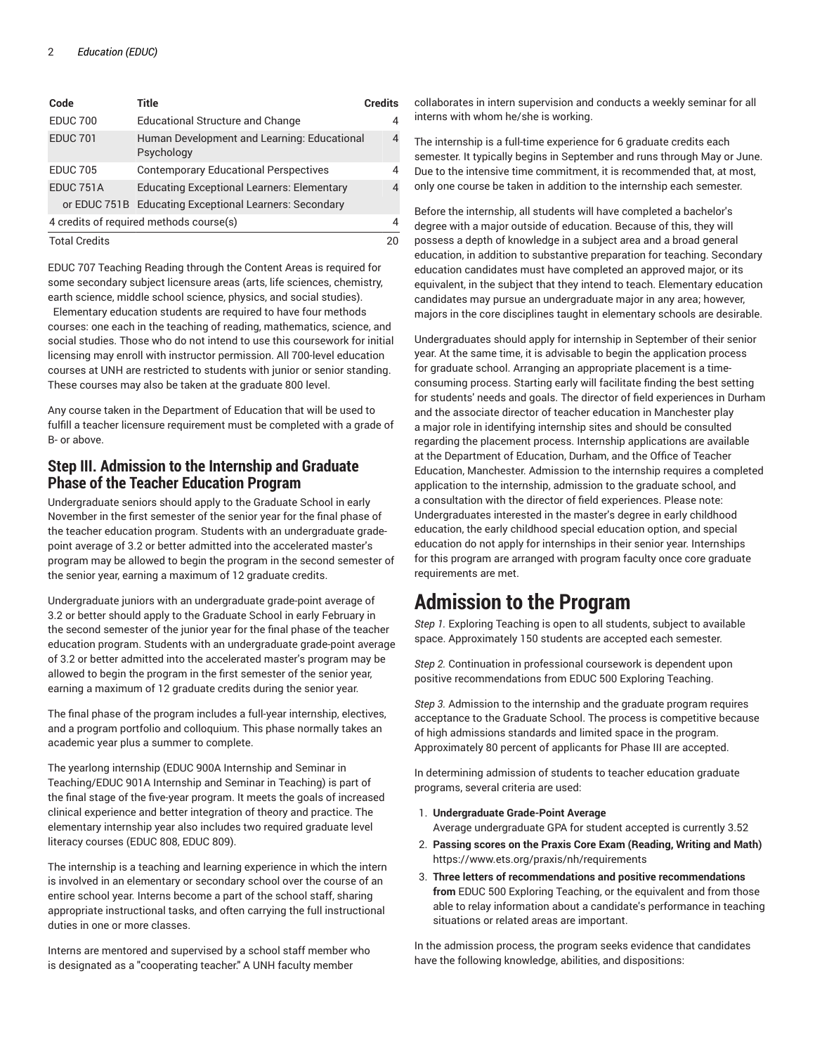| Code                                    | Title                                                     | <b>Credits</b> |
|-----------------------------------------|-----------------------------------------------------------|----------------|
| <b>EDUC 700</b>                         | <b>Educational Structure and Change</b>                   | 4              |
| <b>EDUC 701</b>                         | Human Development and Learning: Educational<br>Psychology | $\overline{4}$ |
| <b>EDUC 705</b>                         | <b>Contemporary Educational Perspectives</b>              | 4              |
| EDUC 751A                               | <b>Educating Exceptional Learners: Elementary</b>         | $\overline{4}$ |
|                                         | or EDUC 751B Educating Exceptional Learners: Secondary    |                |
| 4 credits of required methods course(s) |                                                           | 4              |
| <b>Total Credits</b>                    |                                                           | 20             |

EDUC 707 Teaching Reading through the Content Areas is required for some secondary subject licensure areas (arts, life sciences, chemistry, earth science, middle school science, physics, and social studies).

Elementary education students are required to have four methods courses: one each in the teaching of reading, mathematics, science, and social studies. Those who do not intend to use this coursework for initial licensing may enroll with instructor permission. All 700-level education courses at UNH are restricted to students with junior or senior standing. These courses may also be taken at the graduate 800 level.

Any course taken in the Department of Education that will be used to fulfill a teacher licensure requirement must be completed with a grade of B- or above.

### **Step III. Admission to the Internship and Graduate Phase of the Teacher Education Program**

Undergraduate seniors should apply to the Graduate School in early November in the first semester of the senior year for the final phase of the teacher education program. Students with an undergraduate gradepoint average of 3.2 or better admitted into the accelerated master's program may be allowed to begin the program in the second semester of the senior year, earning a maximum of 12 graduate credits.

Undergraduate juniors with an undergraduate grade-point average of 3.2 or better should apply to the Graduate School in early February in the second semester of the junior year for the final phase of the teacher education program. Students with an undergraduate grade-point average of 3.2 or better admitted into the accelerated master's program may be allowed to begin the program in the first semester of the senior year, earning a maximum of 12 graduate credits during the senior year.

The final phase of the program includes a full-year internship, electives, and a program portfolio and colloquium. This phase normally takes an academic year plus a summer to complete.

The yearlong internship (EDUC 900A Internship and Seminar in Teaching/EDUC 901A Internship and Seminar in Teaching) is part of the final stage of the five-year program. It meets the goals of increased clinical experience and better integration of theory and practice. The elementary internship year also includes two required graduate level literacy courses (EDUC 808, EDUC 809).

The internship is a teaching and learning experience in which the intern is involved in an elementary or secondary school over the course of an entire school year. Interns become a part of the school staff, sharing appropriate instructional tasks, and often carrying the full instructional duties in one or more classes.

Interns are mentored and supervised by a school staff member who is designated as a "cooperating teacher." A UNH faculty member

collaborates in intern supervision and conducts a weekly seminar for all interns with whom he/she is working.

The internship is a full-time experience for 6 graduate credits each semester. It typically begins in September and runs through May or June. Due to the intensive time commitment, it is recommended that, at most, only one course be taken in addition to the internship each semester.

Before the internship, all students will have completed a bachelor's degree with a major outside of education. Because of this, they will possess a depth of knowledge in a subject area and a broad general education, in addition to substantive preparation for teaching. Secondary education candidates must have completed an approved major, or its equivalent, in the subject that they intend to teach. Elementary education candidates may pursue an undergraduate major in any area; however, majors in the core disciplines taught in elementary schools are desirable.

Undergraduates should apply for internship in September of their senior year. At the same time, it is advisable to begin the application process for graduate school. Arranging an appropriate placement is a timeconsuming process. Starting early will facilitate finding the best setting for students' needs and goals. The director of field experiences in Durham and the associate director of teacher education in Manchester play a major role in identifying internship sites and should be consulted regarding the placement process. Internship applications are available at the Department of Education, Durham, and the Office of Teacher Education, Manchester. Admission to the internship requires a completed application to the internship, admission to the graduate school, and a consultation with the director of field experiences. Please note: Undergraduates interested in the master's degree in early childhood education, the early childhood special education option, and special education do not apply for internships in their senior year. Internships for this program are arranged with program faculty once core graduate requirements are met.

### **Admission to the Program**

*Step 1.* Exploring Teaching is open to all students, subject to available space. Approximately 150 students are accepted each semester.

*Step 2.* Continuation in professional coursework is dependent upon positive recommendations from EDUC 500 Exploring Teaching.

*Step 3.* Admission to the internship and the graduate program requires acceptance to the Graduate School. The process is competitive because of high admissions standards and limited space in the program. Approximately 80 percent of applicants for Phase III are accepted.

In determining admission of students to teacher education graduate programs, several criteria are used:

- 1. **Undergraduate Grade-Point Average**
	- Average undergraduate GPA for student accepted is currently 3.52
- 2. **Passing scores on the Praxis Core Exam (Reading, Writing and Math)** https://www.ets.org/praxis/nh/requirements
- 3. **Three letters of recommendations and positive recommendations from** EDUC 500 Exploring Teaching, or the equivalent and from those able to relay information about a candidate's performance in teaching situations or related areas are important.

In the admission process, the program seeks evidence that candidates have the following knowledge, abilities, and dispositions: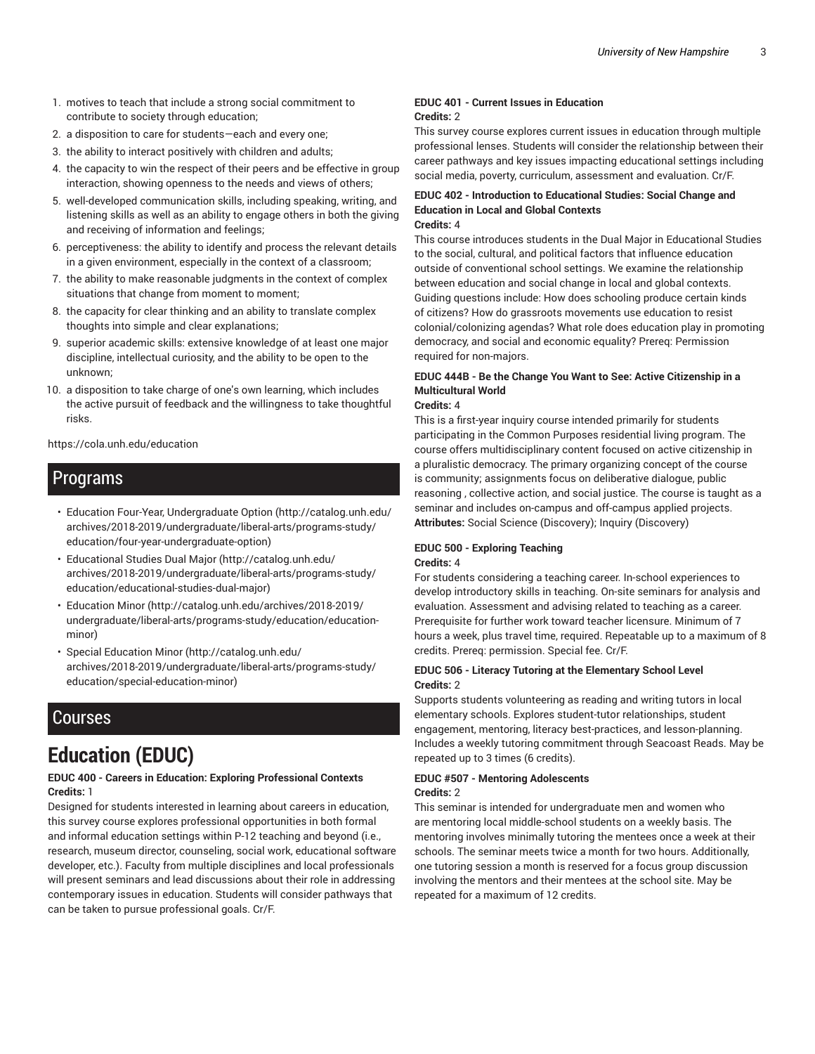- 1. motives to teach that include a strong social commitment to contribute to society through education;
- 2. a disposition to care for students—each and every one;
- 3. the ability to interact positively with children and adults;
- 4. the capacity to win the respect of their peers and be effective in group interaction, showing openness to the needs and views of others;
- 5. well-developed communication skills, including speaking, writing, and listening skills as well as an ability to engage others in both the giving and receiving of information and feelings;
- 6. perceptiveness: the ability to identify and process the relevant details in a given environment, especially in the context of a classroom;
- 7. the ability to make reasonable judgments in the context of complex situations that change from moment to moment;
- 8. the capacity for clear thinking and an ability to translate complex thoughts into simple and clear explanations;
- 9. superior academic skills: extensive knowledge of at least one major discipline, intellectual curiosity, and the ability to be open to the unknown;
- 10. a disposition to take charge of one's own learning, which includes the active pursuit of feedback and the willingness to take thoughtful risks.

https://cola.unh.edu/education

### Programs

- Education Four-Year, Undergraduate Option (http://catalog.unh.edu/ archives/2018-2019/undergraduate/liberal-arts/programs-study/ education/four-year-undergraduate-option)
- Educational Studies Dual Major (http://catalog.unh.edu/ archives/2018-2019/undergraduate/liberal-arts/programs-study/ education/educational-studies-dual-major)
- Education Minor (http://catalog.unh.edu/archives/2018-2019/ undergraduate/liberal-arts/programs-study/education/educationminor)
- Special Education Minor (http://catalog.unh.edu/ archives/2018-2019/undergraduate/liberal-arts/programs-study/ education/special-education-minor)

### Courses

# **Education (EDUC)**

#### **EDUC 400 - Careers in Education: Exploring Professional Contexts Credits:** 1

Designed for students interested in learning about careers in education, this survey course explores professional opportunities in both formal and informal education settings within P-12 teaching and beyond (i.e., research, museum director, counseling, social work, educational software developer, etc.). Faculty from multiple disciplines and local professionals will present seminars and lead discussions about their role in addressing contemporary issues in education. Students will consider pathways that can be taken to pursue professional goals. Cr/F.

#### **EDUC 401 - Current Issues in Education Credits:** 2

This survey course explores current issues in education through multiple professional lenses. Students will consider the relationship between their career pathways and key issues impacting educational settings including social media, poverty, curriculum, assessment and evaluation. Cr/F.

#### **EDUC 402 - Introduction to Educational Studies: Social Change and Education in Local and Global Contexts Credits:** 4

This course introduces students in the Dual Major in Educational Studies to the social, cultural, and political factors that influence education outside of conventional school settings. We examine the relationship between education and social change in local and global contexts. Guiding questions include: How does schooling produce certain kinds of citizens? How do grassroots movements use education to resist colonial/colonizing agendas? What role does education play in promoting democracy, and social and economic equality? Prereq: Permission required for non-majors.

#### **EDUC 444B - Be the Change You Want to See: Active Citizenship in a Multicultural World**

#### **Credits:** 4

This is a first-year inquiry course intended primarily for students participating in the Common Purposes residential living program. The course offers multidisciplinary content focused on active citizenship in a pluralistic democracy. The primary organizing concept of the course is community; assignments focus on deliberative dialogue, public reasoning , collective action, and social justice. The course is taught as a seminar and includes on-campus and off-campus applied projects. **Attributes:** Social Science (Discovery); Inquiry (Discovery)

#### **EDUC 500 - Exploring Teaching Credits:** 4

For students considering a teaching career. In-school experiences to develop introductory skills in teaching. On-site seminars for analysis and evaluation. Assessment and advising related to teaching as a career. Prerequisite for further work toward teacher licensure. Minimum of 7 hours a week, plus travel time, required. Repeatable up to a maximum of 8 credits. Prereq: permission. Special fee. Cr/F.

#### **EDUC 506 - Literacy Tutoring at the Elementary School Level Credits:** 2

Supports students volunteering as reading and writing tutors in local elementary schools. Explores student-tutor relationships, student engagement, mentoring, literacy best-practices, and lesson-planning. Includes a weekly tutoring commitment through Seacoast Reads. May be repeated up to 3 times (6 credits).

### **EDUC #507 - Mentoring Adolescents**

#### **Credits:** 2

This seminar is intended for undergraduate men and women who are mentoring local middle-school students on a weekly basis. The mentoring involves minimally tutoring the mentees once a week at their schools. The seminar meets twice a month for two hours. Additionally, one tutoring session a month is reserved for a focus group discussion involving the mentors and their mentees at the school site. May be repeated for a maximum of 12 credits.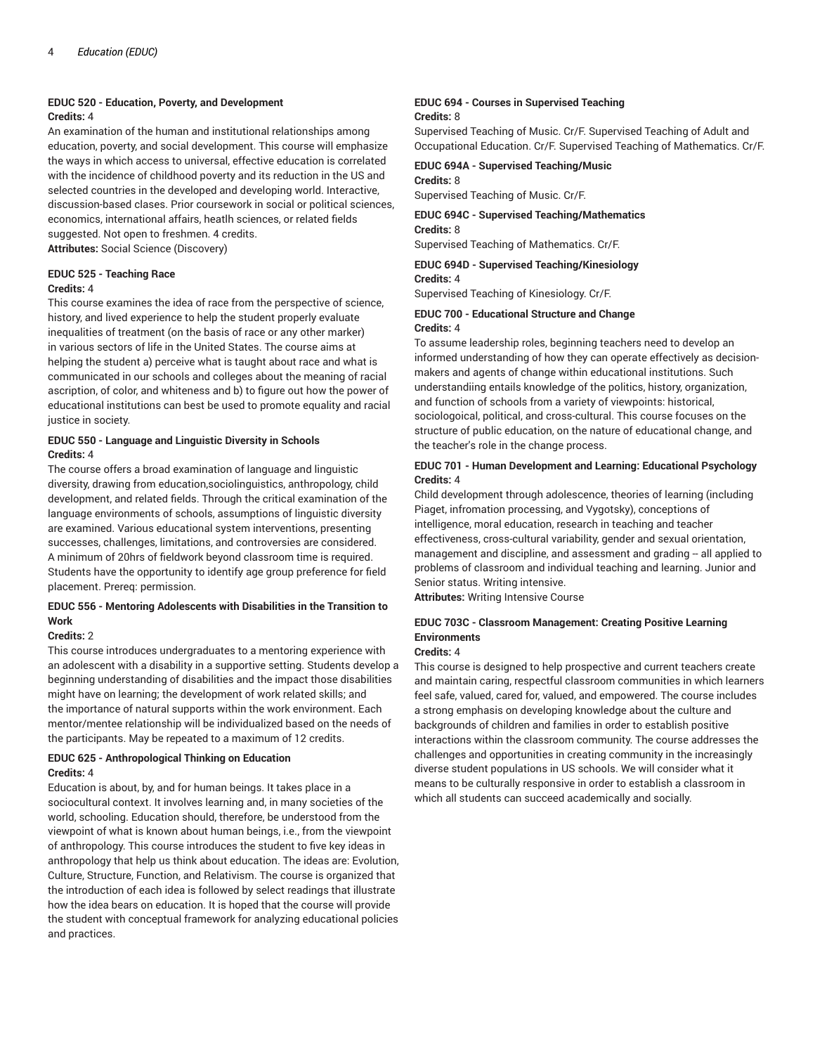#### **EDUC 520 - Education, Poverty, and Development Credits:** 4

An examination of the human and institutional relationships among education, poverty, and social development. This course will emphasize the ways in which access to universal, effective education is correlated with the incidence of childhood poverty and its reduction in the US and selected countries in the developed and developing world. Interactive, discussion-based clases. Prior coursework in social or political sciences, economics, international affairs, heatlh sciences, or related fields suggested. Not open to freshmen. 4 credits. **Attributes:** Social Science (Discovery)

#### **EDUC 525 - Teaching Race Credits:** 4

This course examines the idea of race from the perspective of science, history, and lived experience to help the student properly evaluate inequalities of treatment (on the basis of race or any other marker) in various sectors of life in the United States. The course aims at helping the student a) perceive what is taught about race and what is communicated in our schools and colleges about the meaning of racial ascription, of color, and whiteness and b) to figure out how the power of educational institutions can best be used to promote equality and racial justice in society.

#### **EDUC 550 - Language and Linguistic Diversity in Schools Credits:** 4

The course offers a broad examination of language and linguistic diversity, drawing from education,sociolinguistics, anthropology, child development, and related fields. Through the critical examination of the language environments of schools, assumptions of linguistic diversity are examined. Various educational system interventions, presenting successes, challenges, limitations, and controversies are considered. A minimum of 20hrs of fieldwork beyond classroom time is required. Students have the opportunity to identify age group preference for field placement. Prereq: permission.

#### **EDUC 556 - Mentoring Adolescents with Disabilities in the Transition to Work**

#### **Credits:** 2

This course introduces undergraduates to a mentoring experience with an adolescent with a disability in a supportive setting. Students develop a beginning understanding of disabilities and the impact those disabilities might have on learning; the development of work related skills; and the importance of natural supports within the work environment. Each mentor/mentee relationship will be individualized based on the needs of the participants. May be repeated to a maximum of 12 credits.

#### **EDUC 625 - Anthropological Thinking on Education Credits:** 4

Education is about, by, and for human beings. It takes place in a sociocultural context. It involves learning and, in many societies of the world, schooling. Education should, therefore, be understood from the viewpoint of what is known about human beings, i.e., from the viewpoint of anthropology. This course introduces the student to five key ideas in anthropology that help us think about education. The ideas are: Evolution, Culture, Structure, Function, and Relativism. The course is organized that the introduction of each idea is followed by select readings that illustrate how the idea bears on education. It is hoped that the course will provide the student with conceptual framework for analyzing educational policies and practices.

#### **EDUC 694 - Courses in Supervised Teaching Credits:** 8

Supervised Teaching of Music. Cr/F. Supervised Teaching of Adult and Occupational Education. Cr/F. Supervised Teaching of Mathematics. Cr/F.

#### **EDUC 694A - Supervised Teaching/Music Credits:** 8

Supervised Teaching of Music. Cr/F.

#### **EDUC 694C - Supervised Teaching/Mathematics Credits:** 8

Supervised Teaching of Mathematics. Cr/F.

#### **EDUC 694D - Supervised Teaching/Kinesiology Credits:** 4

Supervised Teaching of Kinesiology. Cr/F.

#### **EDUC 700 - Educational Structure and Change Credits:** 4

To assume leadership roles, beginning teachers need to develop an informed understanding of how they can operate effectively as decisionmakers and agents of change within educational institutions. Such understandiing entails knowledge of the politics, history, organization, and function of schools from a variety of viewpoints: historical, sociologoical, political, and cross-cultural. This course focuses on the structure of public education, on the nature of educational change, and the teacher's role in the change process.

#### **EDUC 701 - Human Development and Learning: Educational Psychology Credits:** 4

Child development through adolescence, theories of learning (including Piaget, infromation processing, and Vygotsky), conceptions of intelligence, moral education, research in teaching and teacher effectiveness, cross-cultural variability, gender and sexual orientation, management and discipline, and assessment and grading -- all applied to problems of classroom and individual teaching and learning. Junior and Senior status. Writing intensive.

**Attributes:** Writing Intensive Course

#### **EDUC 703C - Classroom Management: Creating Positive Learning Environments**

#### **Credits:** 4

This course is designed to help prospective and current teachers create and maintain caring, respectful classroom communities in which learners feel safe, valued, cared for, valued, and empowered. The course includes a strong emphasis on developing knowledge about the culture and backgrounds of children and families in order to establish positive interactions within the classroom community. The course addresses the challenges and opportunities in creating community in the increasingly diverse student populations in US schools. We will consider what it means to be culturally responsive in order to establish a classroom in which all students can succeed academically and socially.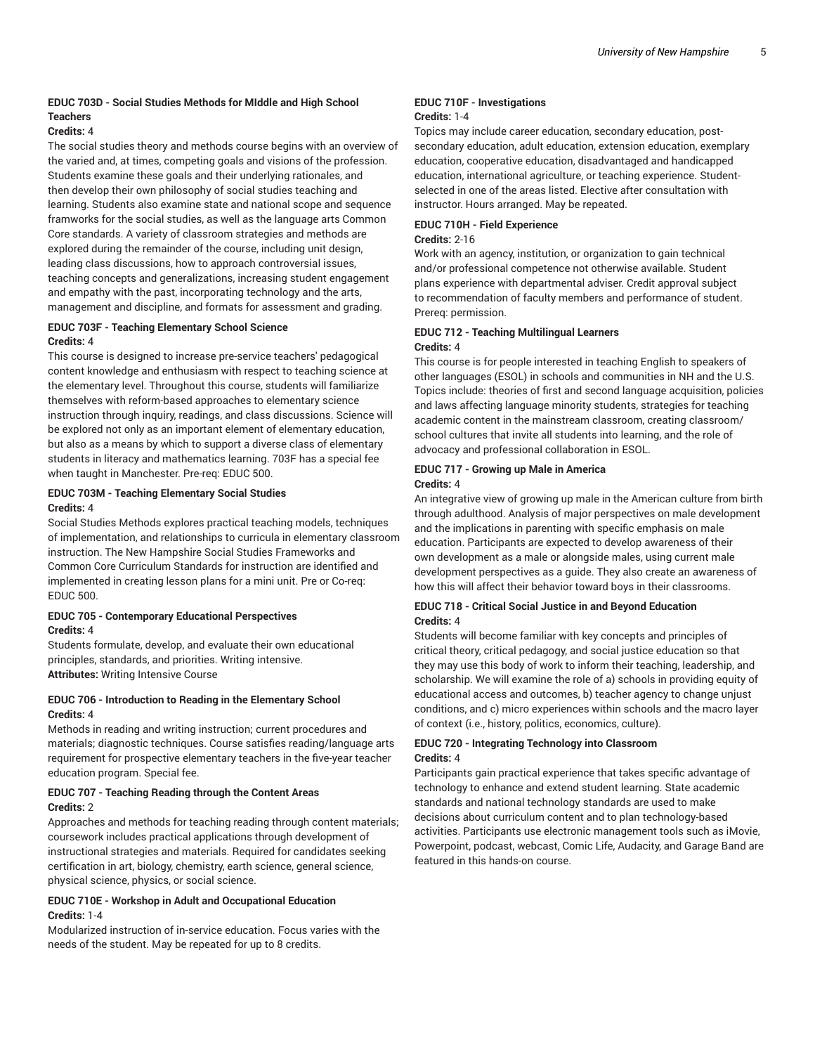#### **EDUC 703D - Social Studies Methods for MIddle and High School Teachers**

#### **Credits:** 4

The social studies theory and methods course begins with an overview of the varied and, at times, competing goals and visions of the profession. Students examine these goals and their underlying rationales, and then develop their own philosophy of social studies teaching and learning. Students also examine state and national scope and sequence framworks for the social studies, as well as the language arts Common Core standards. A variety of classroom strategies and methods are explored during the remainder of the course, including unit design, leading class discussions, how to approach controversial issues, teaching concepts and generalizations, increasing student engagement and empathy with the past, incorporating technology and the arts, management and discipline, and formats for assessment and grading.

#### **EDUC 703F - Teaching Elementary School Science Credits:** 4

This course is designed to increase pre-service teachers' pedagogical content knowledge and enthusiasm with respect to teaching science at the elementary level. Throughout this course, students will familiarize themselves with reform-based approaches to elementary science instruction through inquiry, readings, and class discussions. Science will be explored not only as an important element of elementary education, but also as a means by which to support a diverse class of elementary students in literacy and mathematics learning. 703F has a special fee when taught in Manchester. Pre-req: EDUC 500.

#### **EDUC 703M - Teaching Elementary Social Studies Credits:** 4

Social Studies Methods explores practical teaching models, techniques of implementation, and relationships to curricula in elementary classroom instruction. The New Hampshire Social Studies Frameworks and Common Core Curriculum Standards for instruction are identified and implemented in creating lesson plans for a mini unit. Pre or Co-req: EDUC 500.

#### **EDUC 705 - Contemporary Educational Perspectives Credits:** 4

Students formulate, develop, and evaluate their own educational principles, standards, and priorities. Writing intensive. **Attributes:** Writing Intensive Course

#### **EDUC 706 - Introduction to Reading in the Elementary School Credits:** 4

Methods in reading and writing instruction; current procedures and materials; diagnostic techniques. Course satisfies reading/language arts requirement for prospective elementary teachers in the five-year teacher education program. Special fee.

#### **EDUC 707 - Teaching Reading through the Content Areas Credits:** 2

Approaches and methods for teaching reading through content materials; coursework includes practical applications through development of instructional strategies and materials. Required for candidates seeking certification in art, biology, chemistry, earth science, general science, physical science, physics, or social science.

#### **EDUC 710E - Workshop in Adult and Occupational Education Credits:** 1-4

Modularized instruction of in-service education. Focus varies with the needs of the student. May be repeated for up to 8 credits.

#### **EDUC 710F - Investigations Credits:** 1-4

Topics may include career education, secondary education, postsecondary education, adult education, extension education, exemplary education, cooperative education, disadvantaged and handicapped education, international agriculture, or teaching experience. Studentselected in one of the areas listed. Elective after consultation with instructor. Hours arranged. May be repeated.

#### **EDUC 710H - Field Experience**

#### **Credits:** 2-16

Work with an agency, institution, or organization to gain technical and/or professional competence not otherwise available. Student plans experience with departmental adviser. Credit approval subject to recommendation of faculty members and performance of student. Prereq: permission.

#### **EDUC 712 - Teaching Multilingual Learners Credits:** 4

This course is for people interested in teaching English to speakers of other languages (ESOL) in schools and communities in NH and the U.S. Topics include: theories of first and second language acquisition, policies and laws affecting language minority students, strategies for teaching academic content in the mainstream classroom, creating classroom/ school cultures that invite all students into learning, and the role of advocacy and professional collaboration in ESOL.

#### **EDUC 717 - Growing up Male in America Credits:** 4

An integrative view of growing up male in the American culture from birth through adulthood. Analysis of major perspectives on male development and the implications in parenting with specific emphasis on male education. Participants are expected to develop awareness of their own development as a male or alongside males, using current male development perspectives as a guide. They also create an awareness of how this will affect their behavior toward boys in their classrooms.

#### **EDUC 718 - Critical Social Justice in and Beyond Education Credits:** 4

Students will become familiar with key concepts and principles of critical theory, critical pedagogy, and social justice education so that they may use this body of work to inform their teaching, leadership, and scholarship. We will examine the role of a) schools in providing equity of educational access and outcomes, b) teacher agency to change unjust conditions, and c) micro experiences within schools and the macro layer of context (i.e., history, politics, economics, culture).

#### **EDUC 720 - Integrating Technology into Classroom Credits:** 4

Participants gain practical experience that takes specific advantage of technology to enhance and extend student learning. State academic standards and national technology standards are used to make decisions about curriculum content and to plan technology-based activities. Participants use electronic management tools such as iMovie, Powerpoint, podcast, webcast, Comic Life, Audacity, and Garage Band are featured in this hands-on course.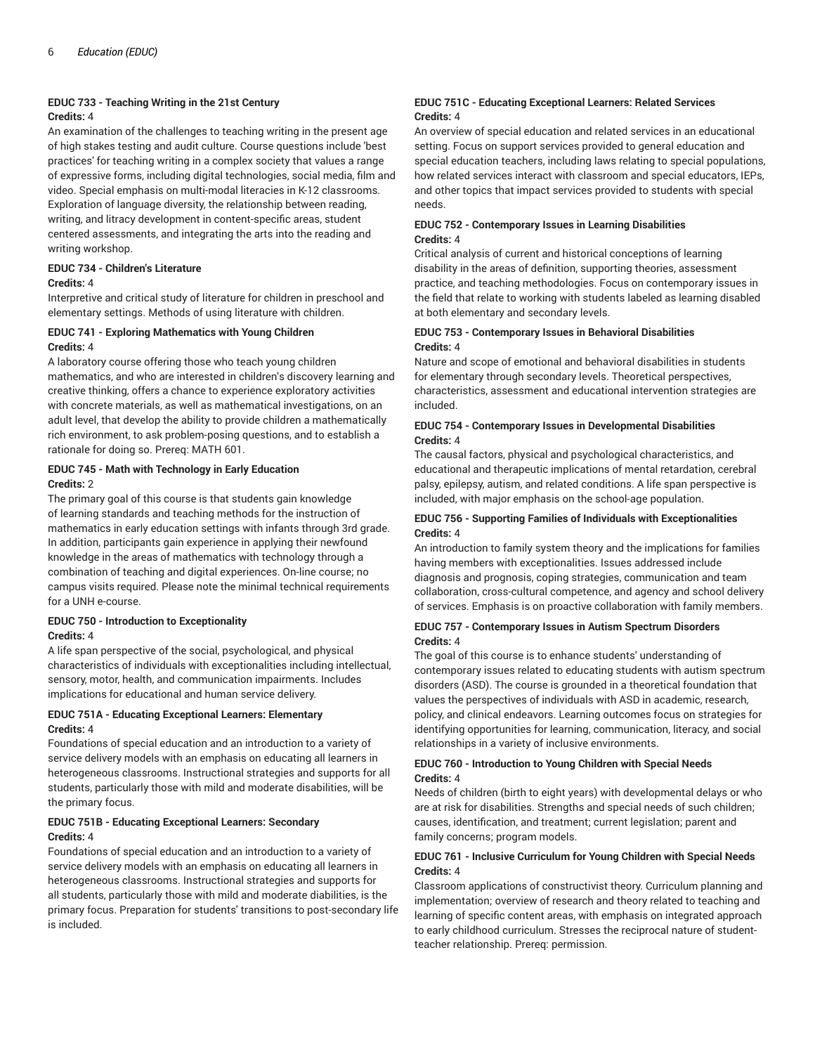#### **EDUC 733 - Teaching Writing in the 21st Century Credits:** 4

An examination of the challenges to teaching writing in the present age of high stakes testing and audit culture. Course questions include 'best practices' for teaching writing in a complex society that values a range of expressive forms, including digital technologies, social media, film and video. Special emphasis on multi-modal literacies in K-12 classrooms. Exploration of language diversity, the relationship between reading, writing, and litracy development in content-specific areas, student centered assessments, and integrating the arts into the reading and writing workshop.

### **EDUC 734 - Children's Literature**

#### **Credits:** 4

Interpretive and critical study of literature for children in preschool and elementary settings. Methods of using literature with children.

#### **EDUC 741 - Exploring Mathematics with Young Children Credits:** 4

A laboratory course offering those who teach young children mathematics, and who are interested in children's discovery learning and creative thinking, offers a chance to experience exploratory activities with concrete materials, as well as mathematical investigations, on an adult level, that develop the ability to provide children a mathematically rich environment, to ask problem-posing questions, and to establish a rationale for doing so. Prereq: MATH 601.

#### **EDUC 745 - Math with Technology in Early Education Credits:** 2

The primary goal of this course is that students gain knowledge of learning standards and teaching methods for the instruction of mathematics in early education settings with infants through 3rd grade. In addition, participants gain experience in applying their newfound knowledge in the areas of mathematics with technology through a combination of teaching and digital experiences. On-line course; no campus visits required. Please note the minimal technical requirements for a UNH e-course.

#### **EDUC 750 - Introduction to Exceptionality Credits:** 4

A life span perspective of the social, psychological, and physical characteristics of individuals with exceptionalities including intellectual, sensory, motor, health, and communication impairments. Includes implications for educational and human service delivery.

#### **EDUC 751A - Educating Exceptional Learners: Elementary Credits:** 4

Foundations of special education and an introduction to a variety of service delivery models with an emphasis on educating all learners in heterogeneous classrooms. Instructional strategies and supports for all students, particularly those with mild and moderate disabilities, will be the primary focus.

#### **EDUC 751B - Educating Exceptional Learners: Secondary Credits:** 4

Foundations of special education and an introduction to a variety of service delivery models with an emphasis on educating all learners in heterogeneous classrooms. Instructional strategies and supports for all students, particularly those with mild and moderate diabilities, is the primary focus. Preparation for students' transitions to post-secondary life is included.

#### **EDUC 751C - Educating Exceptional Learners: Related Services Credits:** 4

An overview of special education and related services in an educational setting. Focus on support services provided to general education and special education teachers, including laws relating to special populations, how related services interact with classroom and special educators, IEPs, and other topics that impact services provided to students with special needs.

#### **EDUC 752 - Contemporary Issues in Learning Disabilities Credits:** 4

Critical analysis of current and historical conceptions of learning disability in the areas of definition, supporting theories, assessment practice, and teaching methodologies. Focus on contemporary issues in the field that relate to working with students labeled as learning disabled at both elementary and secondary levels.

#### **EDUC 753 - Contemporary Issues in Behavioral Disabilities Credits:** 4

Nature and scope of emotional and behavioral disabilities in students for elementary through secondary levels. Theoretical perspectives, characteristics, assessment and educational intervention strategies are included.

#### **EDUC 754 - Contemporary Issues in Developmental Disabilities Credits:** 4

The causal factors, physical and psychological characteristics, and educational and therapeutic implications of mental retardation, cerebral palsy, epilepsy, autism, and related conditions. A life span perspective is included, with major emphasis on the school-age population.

#### **EDUC 756 - Supporting Families of Individuals with Exceptionalities Credits:** 4

An introduction to family system theory and the implications for families having members with exceptionalities. Issues addressed include diagnosis and prognosis, coping strategies, communication and team collaboration, cross-cultural competence, and agency and school delivery of services. Emphasis is on proactive collaboration with family members.

#### **EDUC 757 - Contemporary Issues in Autism Spectrum Disorders Credits:** 4

The goal of this course is to enhance students' understanding of contemporary issues related to educating students with autism spectrum disorders (ASD). The course is grounded in a theoretical foundation that values the perspectives of individuals with ASD in academic, research, policy, and clinical endeavors. Learning outcomes focus on strategies for identifying opportunities for learning, communication, literacy, and social relationships in a variety of inclusive environments.

#### **EDUC 760 - Introduction to Young Children with Special Needs Credits:** 4

Needs of children (birth to eight years) with developmental delays or who are at risk for disabilities. Strengths and special needs of such children; causes, identification, and treatment; current legislation; parent and family concerns; program models.

#### **EDUC 761 - Inclusive Curriculum for Young Children with Special Needs Credits:** 4

Classroom applications of constructivist theory. Curriculum planning and implementation; overview of research and theory related to teaching and learning of specific content areas, with emphasis on integrated approach to early childhood curriculum. Stresses the reciprocal nature of studentteacher relationship. Prereq: permission.